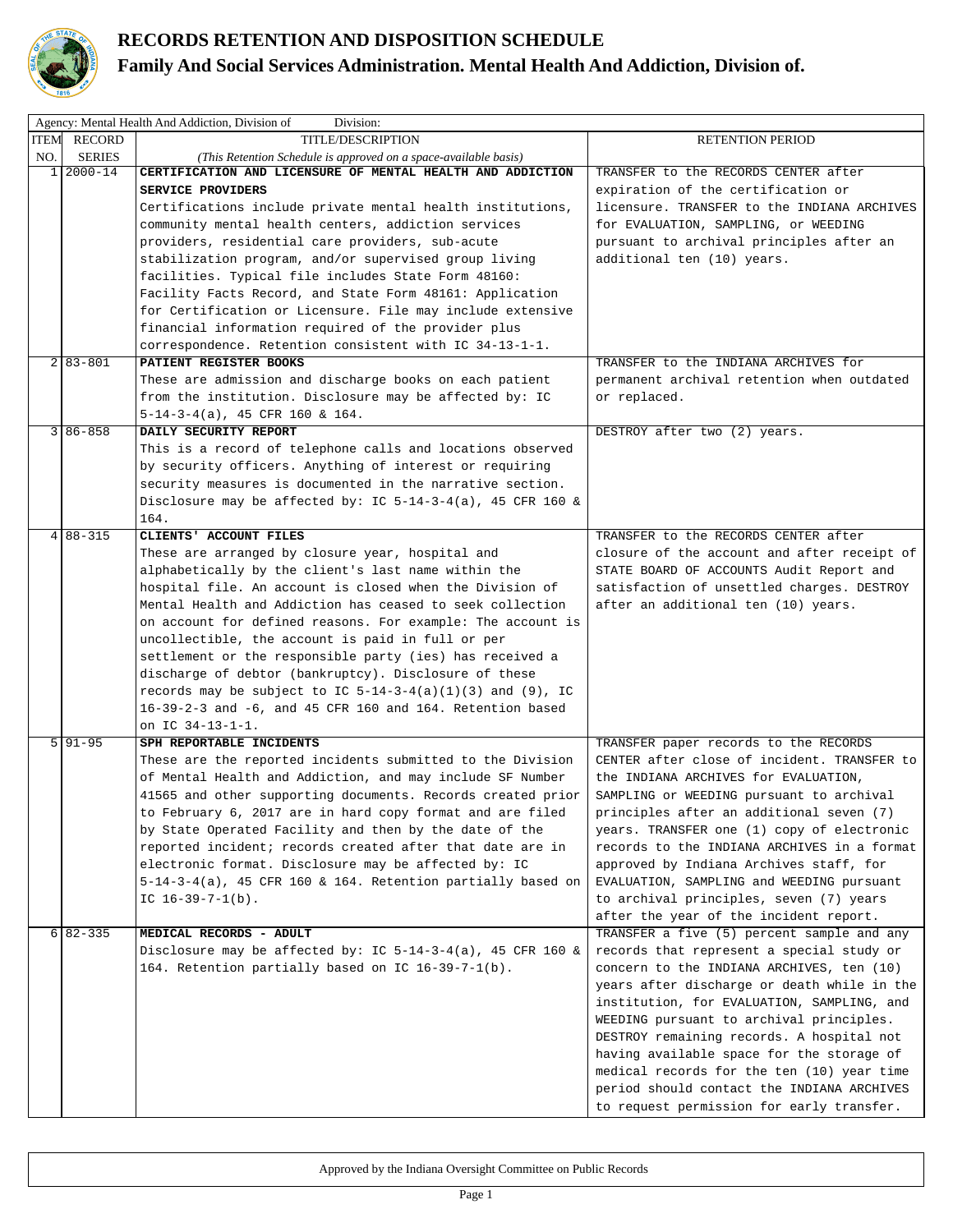

## **RECORDS RETENTION AND DISPOSITION SCHEDULE Family And Social Services Administration. Mental Health And Addiction, Division of.**

|      | Agency: Mental Health And Addiction, Division of<br>Division: |                                                                  |                                             |  |  |  |  |
|------|---------------------------------------------------------------|------------------------------------------------------------------|---------------------------------------------|--|--|--|--|
| ITEM | RECORD                                                        | TITLE/DESCRIPTION                                                | <b>RETENTION PERIOD</b>                     |  |  |  |  |
| NO.  | <b>SERIES</b>                                                 | (This Retention Schedule is approved on a space-available basis) |                                             |  |  |  |  |
|      | $1 2000 - 14$                                                 | CERTIFICATION AND LICENSURE OF MENTAL HEALTH AND ADDICTION       | TRANSFER to the RECORDS CENTER after        |  |  |  |  |
|      |                                                               | SERVICE PROVIDERS                                                | expiration of the certification or          |  |  |  |  |
|      |                                                               | Certifications include private mental health institutions,       | licensure. TRANSFER to the INDIANA ARCHIVES |  |  |  |  |
|      |                                                               | community mental health centers, addiction services              | for EVALUATION, SAMPLING, or WEEDING        |  |  |  |  |
|      |                                                               | providers, residential care providers, sub-acute                 | pursuant to archival principles after an    |  |  |  |  |
|      |                                                               | stabilization program, and/or supervised group living            | additional ten (10) years.                  |  |  |  |  |
|      |                                                               | facilities. Typical file includes State Form 48160:              |                                             |  |  |  |  |
|      |                                                               | Facility Facts Record, and State Form 48161: Application         |                                             |  |  |  |  |
|      |                                                               | for Certification or Licensure. File may include extensive       |                                             |  |  |  |  |
|      |                                                               | financial information required of the provider plus              |                                             |  |  |  |  |
|      |                                                               | correspondence. Retention consistent with IC 34-13-1-1.          |                                             |  |  |  |  |
|      | $2 83 - 801$                                                  | PATIENT REGISTER BOOKS                                           | TRANSFER to the INDIANA ARCHIVES for        |  |  |  |  |
|      |                                                               | These are admission and discharge books on each patient          | permanent archival retention when outdated  |  |  |  |  |
|      |                                                               | from the institution. Disclosure may be affected by: IC          | or replaced.                                |  |  |  |  |
|      |                                                               | $5-14-3-4(a)$ , 45 CFR 160 & 164.                                |                                             |  |  |  |  |
|      | $3 86 - 858$                                                  | DAILY SECURITY REPORT                                            | DESTROY after two (2) years.                |  |  |  |  |
|      |                                                               | This is a record of telephone calls and locations observed       |                                             |  |  |  |  |
|      |                                                               | by security officers. Anything of interest or requiring          |                                             |  |  |  |  |
|      |                                                               | security measures is documented in the narrative section.        |                                             |  |  |  |  |
|      |                                                               | Disclosure may be affected by: IC $5-14-3-4(a)$ , 45 CFR 160 &   |                                             |  |  |  |  |
|      |                                                               | 164.                                                             |                                             |  |  |  |  |
|      | $4 88-315$                                                    | CLIENTS' ACCOUNT FILES                                           | TRANSFER to the RECORDS CENTER after        |  |  |  |  |
|      |                                                               | These are arranged by closure year, hospital and                 | closure of the account and after receipt of |  |  |  |  |
|      |                                                               | alphabetically by the client's last name within the              | STATE BOARD OF ACCOUNTS Audit Report and    |  |  |  |  |
|      |                                                               | hospital file. An account is closed when the Division of         | satisfaction of unsettled charges. DESTROY  |  |  |  |  |
|      |                                                               | Mental Health and Addiction has ceased to seek collection        | after an additional ten (10) years.         |  |  |  |  |
|      |                                                               | on account for defined reasons. For example: The account is      |                                             |  |  |  |  |
|      |                                                               | uncollectible, the account is paid in full or per                |                                             |  |  |  |  |
|      |                                                               | settlement or the responsible party (ies) has received a         |                                             |  |  |  |  |
|      |                                                               | discharge of debtor (bankruptcy). Disclosure of these            |                                             |  |  |  |  |
|      |                                                               | records may be subject to IC $5-14-3-4(a)(1)(3)$ and (9), IC     |                                             |  |  |  |  |
|      |                                                               | 16-39-2-3 and -6, and 45 CFR 160 and 164. Retention based        |                                             |  |  |  |  |
|      |                                                               | on IC 34-13-1-1.                                                 |                                             |  |  |  |  |
|      | $5 91-95$                                                     | SPH REPORTABLE INCIDENTS                                         | TRANSFER paper records to the RECORDS       |  |  |  |  |
|      |                                                               | These are the reported incidents submitted to the Division       | CENTER after close of incident. TRANSFER to |  |  |  |  |
|      |                                                               | of Mental Health and Addiction, and may include SF Number        | the INDIANA ARCHIVES for EVALUATION,        |  |  |  |  |
|      |                                                               | 41565 and other supporting documents. Records created prior      | SAMPLING or WEEDING pursuant to archival    |  |  |  |  |
|      |                                                               | to February 6, 2017 are in hard copy format and are filed        | principles after an additional seven (7)    |  |  |  |  |
|      |                                                               | by State Operated Facility and then by the date of the           | years. TRANSFER one (1) copy of electronic  |  |  |  |  |
|      |                                                               | reported incident; records created after that date are in        | records to the INDIANA ARCHIVES in a format |  |  |  |  |
|      |                                                               | electronic format. Disclosure may be affected by: IC             | approved by Indiana Archives staff, for     |  |  |  |  |
|      |                                                               | $5-14-3-4(a)$ , 45 CFR 160 & 164. Retention partially based on   | EVALUATION, SAMPLING and WEEDING pursuant   |  |  |  |  |
|      |                                                               | IC $16-39-7-1(b)$ .                                              | to archival principles, seven (7) years     |  |  |  |  |
|      |                                                               |                                                                  | after the year of the incident report.      |  |  |  |  |
|      | $6 82-335$                                                    | MEDICAL RECORDS - ADULT                                          | TRANSFER a five (5) percent sample and any  |  |  |  |  |
|      |                                                               | Disclosure may be affected by: IC 5-14-3-4(a), 45 CFR 160 &      | records that represent a special study or   |  |  |  |  |
|      |                                                               | 164. Retention partially based on IC 16-39-7-1(b).               | concern to the INDIANA ARCHIVES, ten (10)   |  |  |  |  |
|      |                                                               |                                                                  | years after discharge or death while in the |  |  |  |  |
|      |                                                               |                                                                  | institution, for EVALUATION, SAMPLING, and  |  |  |  |  |
|      |                                                               |                                                                  | WEEDING pursuant to archival principles.    |  |  |  |  |
|      |                                                               |                                                                  | DESTROY remaining records. A hospital not   |  |  |  |  |
|      |                                                               |                                                                  | having available space for the storage of   |  |  |  |  |
|      |                                                               |                                                                  | medical records for the ten (10) year time  |  |  |  |  |
|      |                                                               |                                                                  | period should contact the INDIANA ARCHIVES  |  |  |  |  |
|      |                                                               |                                                                  | to request permission for early transfer.   |  |  |  |  |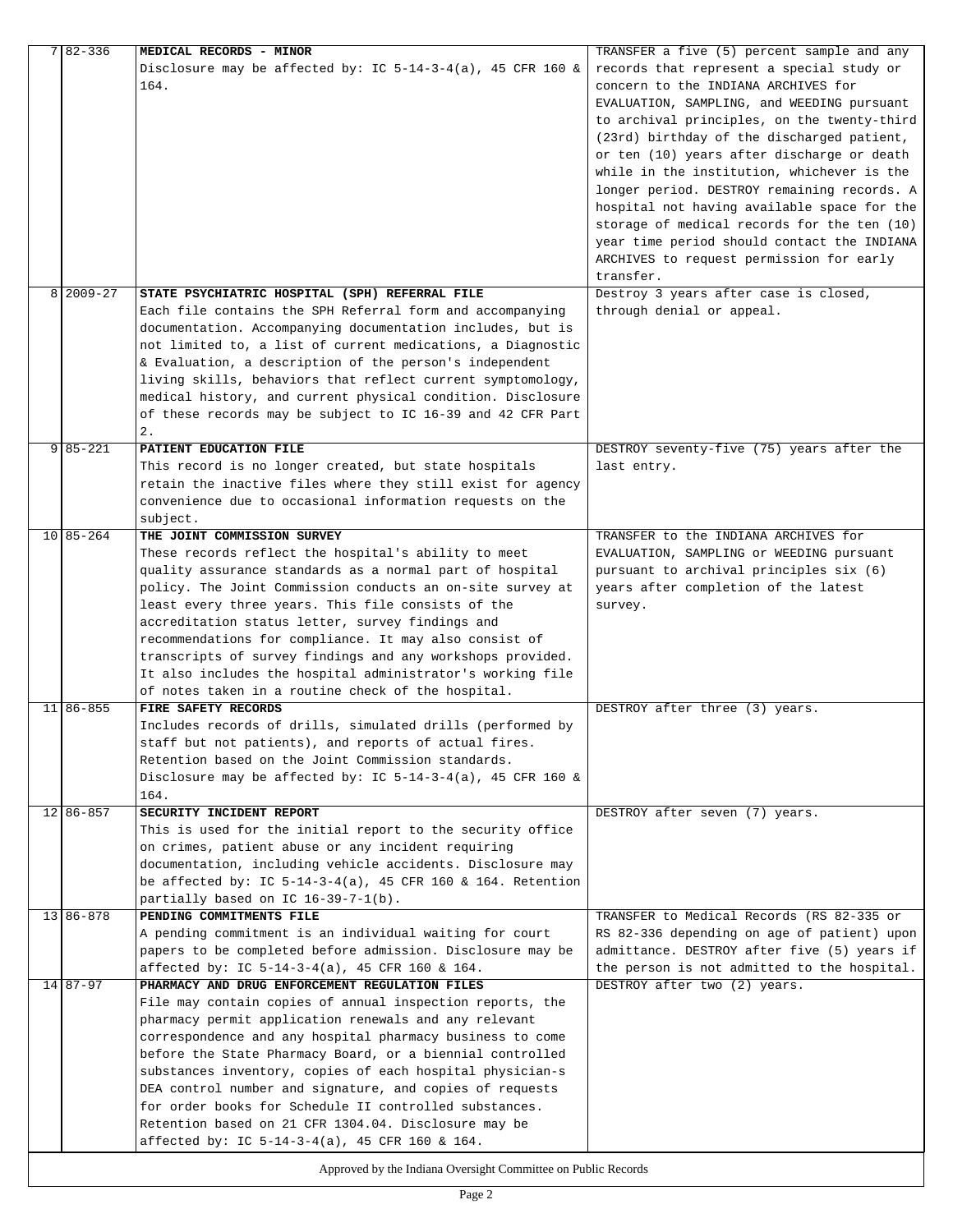| 7 82 - 336                                                    | MEDICAL RECORDS - MINOR                                        | TRANSFER a five (5) percent sample and any  |  |  |
|---------------------------------------------------------------|----------------------------------------------------------------|---------------------------------------------|--|--|
|                                                               | Disclosure may be affected by: IC $5-14-3-4(a)$ , 45 CFR 160 & | records that represent a special study or   |  |  |
|                                                               | 164.                                                           | concern to the INDIANA ARCHIVES for         |  |  |
|                                                               |                                                                | EVALUATION, SAMPLING, and WEEDING pursuant  |  |  |
|                                                               |                                                                | to archival principles, on the twenty-third |  |  |
|                                                               |                                                                | (23rd) birthday of the discharged patient,  |  |  |
|                                                               |                                                                | or ten (10) years after discharge or death  |  |  |
|                                                               |                                                                | while in the institution, whichever is the  |  |  |
|                                                               |                                                                | longer period. DESTROY remaining records. A |  |  |
|                                                               |                                                                |                                             |  |  |
|                                                               |                                                                | hospital not having available space for the |  |  |
|                                                               |                                                                | storage of medical records for the ten (10) |  |  |
|                                                               |                                                                | year time period should contact the INDIANA |  |  |
|                                                               |                                                                | ARCHIVES to request permission for early    |  |  |
|                                                               |                                                                | transfer.                                   |  |  |
| $8 2009-27$                                                   | STATE PSYCHIATRIC HOSPITAL (SPH) REFERRAL FILE                 | Destroy 3 years after case is closed,       |  |  |
|                                                               | Each file contains the SPH Referral form and accompanying      | through denial or appeal.                   |  |  |
|                                                               | documentation. Accompanying documentation includes, but is     |                                             |  |  |
|                                                               | not limited to, a list of current medications, a Diagnostic    |                                             |  |  |
|                                                               | & Evaluation, a description of the person's independent        |                                             |  |  |
|                                                               | living skills, behaviors that reflect current symptomology,    |                                             |  |  |
|                                                               | medical history, and current physical condition. Disclosure    |                                             |  |  |
|                                                               |                                                                |                                             |  |  |
|                                                               | of these records may be subject to IC 16-39 and 42 CFR Part    |                                             |  |  |
|                                                               | 2.                                                             |                                             |  |  |
| $9 85 - 221$                                                  | PATIENT EDUCATION FILE                                         | DESTROY seventy-five (75) years after the   |  |  |
|                                                               | This record is no longer created, but state hospitals          | last entry.                                 |  |  |
|                                                               | retain the inactive files where they still exist for agency    |                                             |  |  |
|                                                               | convenience due to occasional information requests on the      |                                             |  |  |
|                                                               | subject.                                                       |                                             |  |  |
| $10 85 - 264$                                                 | THE JOINT COMMISSION SURVEY                                    | TRANSFER to the INDIANA ARCHIVES for        |  |  |
|                                                               | These records reflect the hospital's ability to meet           | EVALUATION, SAMPLING or WEEDING pursuant    |  |  |
|                                                               | quality assurance standards as a normal part of hospital       | pursuant to archival principles six (6)     |  |  |
|                                                               | policy. The Joint Commission conducts an on-site survey at     | years after completion of the latest        |  |  |
|                                                               | least every three years. This file consists of the             | survey.                                     |  |  |
|                                                               | accreditation status letter, survey findings and               |                                             |  |  |
|                                                               | recommendations for compliance. It may also consist of         |                                             |  |  |
|                                                               | transcripts of survey findings and any workshops provided.     |                                             |  |  |
|                                                               | It also includes the hospital administrator's working file     |                                             |  |  |
|                                                               | of notes taken in a routine check of the hospital.             |                                             |  |  |
| $11 86 - 855$                                                 | FIRE SAFETY RECORDS                                            | DESTROY after three (3) years.              |  |  |
|                                                               |                                                                |                                             |  |  |
|                                                               | Includes records of drills, simulated drills (performed by     |                                             |  |  |
|                                                               | staff but not patients), and reports of actual fires.          |                                             |  |  |
|                                                               | Retention based on the Joint Commission standards.             |                                             |  |  |
|                                                               | Disclosure may be affected by: IC $5-14-3-4(a)$ , 45 CFR 160 & |                                             |  |  |
|                                                               | 164.                                                           |                                             |  |  |
| $12$   86-857                                                 | SECURITY INCIDENT REPORT                                       | DESTROY after seven (7) years.              |  |  |
|                                                               | This is used for the initial report to the security office     |                                             |  |  |
|                                                               | on crimes, patient abuse or any incident requiring             |                                             |  |  |
|                                                               | documentation, including vehicle accidents. Disclosure may     |                                             |  |  |
|                                                               | be affected by: IC $5-14-3-4(a)$ , 45 CFR 160 & 164. Retention |                                             |  |  |
|                                                               | partially based on IC 16-39-7-1(b).                            |                                             |  |  |
| $13 86 - 878$                                                 | PENDING COMMITMENTS FILE                                       | TRANSFER to Medical Records (RS 82-335 or   |  |  |
|                                                               | A pending commitment is an individual waiting for court        | RS 82-336 depending on age of patient) upon |  |  |
|                                                               | papers to be completed before admission. Disclosure may be     | admittance. DESTROY after five (5) years if |  |  |
|                                                               | affected by: IC 5-14-3-4(a), 45 CFR 160 & 164.                 | the person is not admitted to the hospital. |  |  |
| $14 87-97$                                                    | PHARMACY AND DRUG ENFORCEMENT REGULATION FILES                 | DESTROY after two (2) years.                |  |  |
|                                                               |                                                                |                                             |  |  |
|                                                               | File may contain copies of annual inspection reports, the      |                                             |  |  |
|                                                               | pharmacy permit application renewals and any relevant          |                                             |  |  |
|                                                               | correspondence and any hospital pharmacy business to come      |                                             |  |  |
|                                                               | before the State Pharmacy Board, or a biennial controlled      |                                             |  |  |
|                                                               | substances inventory, copies of each hospital physician-s      |                                             |  |  |
|                                                               | DEA control number and signature, and copies of requests       |                                             |  |  |
|                                                               | for order books for Schedule II controlled substances.         |                                             |  |  |
|                                                               | Retention based on 21 CFR 1304.04. Disclosure may be           |                                             |  |  |
|                                                               | affected by: IC 5-14-3-4(a), 45 CFR 160 & 164.                 |                                             |  |  |
|                                                               |                                                                |                                             |  |  |
| Approved by the Indiana Oversight Committee on Public Records |                                                                |                                             |  |  |